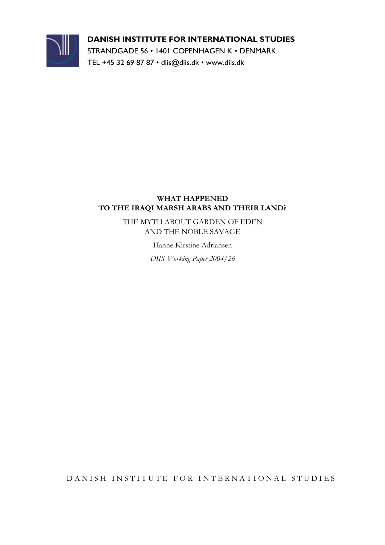

#### **DANISH INSTITUTE FOR INTERNATIONAL STUDIES**

STRANDGADE 56 • 1401 COPENHAGEN K • DENMARK TEL +45 32 69 87 87 • diis@diis.dk • www.diis.dk

#### **WHAT HAPPENED TO THE IRAQI MARSH ARABS AND THEIR LAND?**

THE MYTH ABOUT GARDEN OF EDEN AND THE NOBLE SAVAGE

Hanne Kirstine Adriansen

*DIIS Working Paper 2004/26* 

DANISH INSTITUTE FOR INTERNATIONAL STUDIES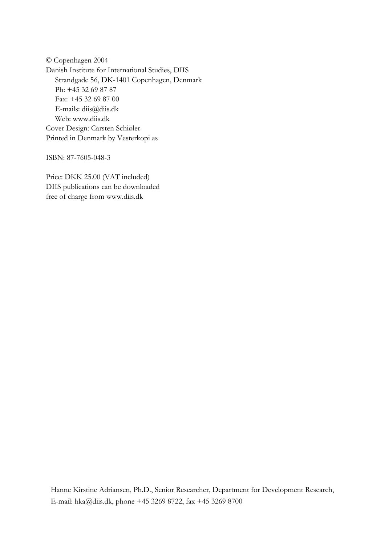© Copenhagen 2004 Danish Institute for International Studies, DIIS Strandgade 56, DK-1401 Copenhagen, Denmark Ph: +45 32 69 87 87 Fax: +45 32 69 87 00 E-mails: diis@diis.dk Web: www.diis.dk Cover Design: Carsten Schiøler Printed in Denmark by Vesterkopi as

ISBN: 87-7605-048-3

Price: DKK 25.00 (VAT included) DIIS publications can be downloaded free of charge from www.diis.dk

Hanne Kirstine Adriansen, Ph.D., Senior Researcher, Department for Development Research, E-mail: hka@diis.dk, phone +45 3269 8722, fax +45 3269 8700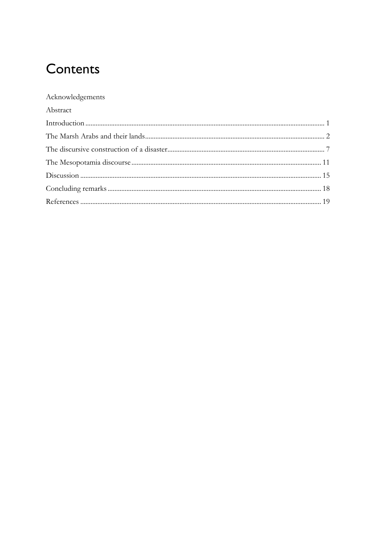# Contents

#### Acknowledgements

| Abstract |  |
|----------|--|
|          |  |
|          |  |
|          |  |
|          |  |
|          |  |
|          |  |
|          |  |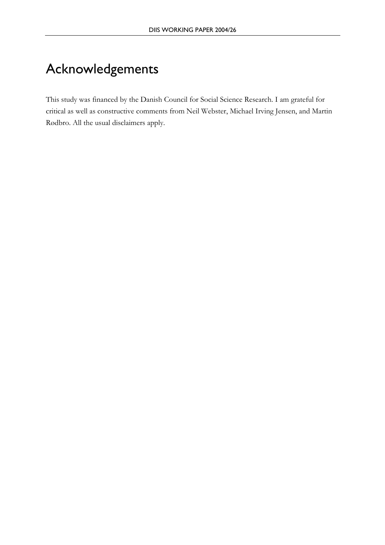# Acknowledgements

This study was financed by the Danish Council for Social Science Research. I am grateful for critical as well as constructive comments from Neil Webster, Michael Irving Jensen, and Martin Rødbro. All the usual disclaimers apply.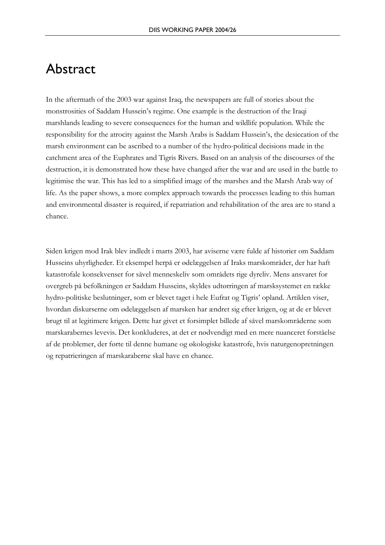### Abstract

In the aftermath of the 2003 war against Iraq, the newspapers are full of stories about the monstrosities of Saddam Hussein's regime. One example is the destruction of the Iraqi marshlands leading to severe consequences for the human and wildlife population. While the responsibility for the atrocity against the Marsh Arabs is Saddam Hussein's, the desiccation of the marsh environment can be ascribed to a number of the hydro-political decisions made in the catchment area of the Euphrates and Tigris Rivers. Based on an analysis of the discourses of the destruction, it is demonstrated how these have changed after the war and are used in the battle to legitimise the war. This has led to a simplified image of the marshes and the Marsh Arab way of life. As the paper shows, a more complex approach towards the processes leading to this human and environmental disaster is required, if repatriation and rehabilitation of the area are to stand a chance.

Siden krigen mod Irak blev indledt i marts 2003, har aviserne være fulde af historier om Saddam Husseins uhyrligheder. Et eksempel herpå er ødelæggelsen af Iraks marskområder, der har haft katastrofale konsekvenser for såvel menneskeliv som områdets rige dyreliv. Mens ansvaret for overgreb på befolkningen er Saddam Husseins, skyldes udtørringen af marsksystemet en række hydro-politiske beslutninger, som er blevet taget i hele Eufrat og Tigris' opland. Artiklen viser, hvordan diskurserne om ødelæggelsen af marsken har ændret sig efter krigen, og at de er blevet brugt til at legitimere krigen. Dette har givet et forsimplet billede af såvel marskområderne som marskarabernes levevis. Det konkluderes, at det er nødvendigt med en mere nuanceret forståelse af de problemer, der førte til denne humane og økologiske katastrofe, hvis naturgenopretningen og repatrieringen af marskaraberne skal have en chance.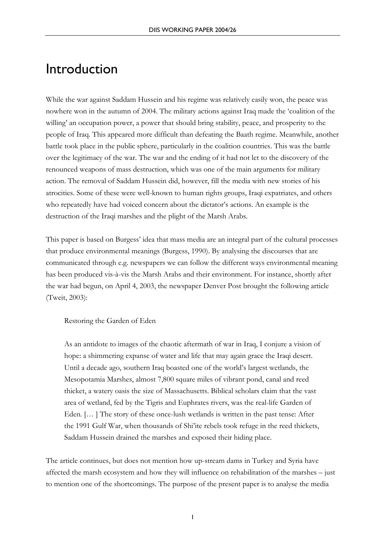### Introduction

While the war against Saddam Hussein and his regime was relatively easily won, the peace was nowhere won in the autumn of 2004. The military actions against Iraq made the 'coalition of the willing' an occupation power, a power that should bring stability, peace, and prosperity to the people of Iraq. This appeared more difficult than defeating the Baath regime. Meanwhile, another battle took place in the public sphere, particularly in the coalition countries. This was the battle over the legitimacy of the war. The war and the ending of it had not let to the discovery of the renounced weapons of mass destruction, which was one of the main arguments for military action. The removal of Saddam Hussein did, however, fill the media with new stories of his atrocities. Some of these were well-known to human rights groups, Iraqi expatriates, and others who repeatedly have had voiced concern about the dictator's actions. An example is the destruction of the Iraqi marshes and the plight of the Marsh Arabs.

This paper is based on Burgess' idea that mass media are an integral part of the cultural processes that produce environmental meanings (Burgess, 1990). By analysing the discourses that are communicated through e.g. newspapers we can follow the different ways environmental meaning has been produced vis-à-vis the Marsh Arabs and their environment. For instance, shortly after the war had begun, on April 4, 2003, the newspaper Denver Post brought the following article (Tweit, 2003):

Restoring the Garden of Eden

As an antidote to images of the chaotic aftermath of war in Iraq, I conjure a vision of hope: a shimmering expanse of water and life that may again grace the Iraqi desert. Until a decade ago, southern Iraq boasted one of the world's largest wetlands, the Mesopotamia Marshes, almost 7,800 square miles of vibrant pond, canal and reed thicket, a watery oasis the size of Massachusetts. Biblical scholars claim that the vast area of wetland, fed by the Tigris and Euphrates rivers, was the real-life Garden of Eden. [… ] The story of these once-lush wetlands is written in the past tense: After the 1991 Gulf War, when thousands of Shi'ite rebels took refuge in the reed thickets, Saddam Hussein drained the marshes and exposed their hiding place.

The article continues, but does not mention how up-stream dams in Turkey and Syria have affected the marsh ecosystem and how they will influence on rehabilitation of the marshes – just to mention one of the shortcomings. The purpose of the present paper is to analyse the media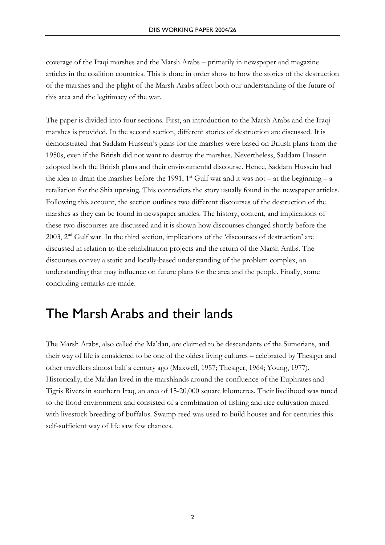coverage of the Iraqi marshes and the Marsh Arabs – primarily in newspaper and magazine articles in the coalition countries. This is done in order show to how the stories of the destruction of the marshes and the plight of the Marsh Arabs affect both our understanding of the future of this area and the legitimacy of the war.

The paper is divided into four sections. First, an introduction to the Marsh Arabs and the Iraqi marshes is provided. In the second section, different stories of destruction are discussed. It is demonstrated that Saddam Hussein's plans for the marshes were based on British plans from the 1950s, even if the British did not want to destroy the marshes. Nevertheless, Saddam Hussein adopted both the British plans and their environmental discourse. Hence, Saddam Hussein had the idea to drain the marshes before the 1991, 1<sup>st</sup> Gulf war and it was not – at the beginning – a retaliation for the Shia uprising. This contradicts the story usually found in the newspaper articles. Following this account, the section outlines two different discourses of the destruction of the marshes as they can be found in newspaper articles. The history, content, and implications of these two discourses are discussed and it is shown how discourses changed shortly before the 2003,  $2<sup>nd</sup>$  Gulf war. In the third section, implications of the 'discourses of destruction' are discussed in relation to the rehabilitation projects and the return of the Marsh Arabs. The discourses convey a static and locally-based understanding of the problem complex, an understanding that may influence on future plans for the area and the people. Finally, some concluding remarks are made.

### The Marsh Arabs and their lands

The Marsh Arabs, also called the Ma'dan, are claimed to be descendants of the Sumerians, and their way of life is considered to be one of the oldest living cultures – celebrated by Thesiger and other travellers almost half a century ago (Maxwell, 1957; Thesiger, 1964; Young, 1977). Historically, the Ma'dan lived in the marshlands around the confluence of the Euphrates and Tigris Rivers in southern Iraq, an area of 15-20,000 square kilometres. Their livelihood was tuned to the flood environment and consisted of a combination of fishing and rice cultivation mixed with livestock breeding of buffalos. Swamp reed was used to build houses and for centuries this self-sufficient way of life saw few chances.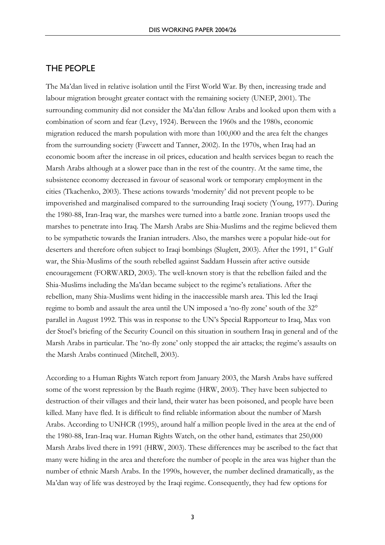#### THE PEOPLE

The Ma'dan lived in relative isolation until the First World War. By then, increasing trade and labour migration brought greater contact with the remaining society (UNEP, 2001). The surrounding community did not consider the Ma'dan fellow Arabs and looked upon them with a combination of scorn and fear (Levy, 1924). Between the 1960s and the 1980s, economic migration reduced the marsh population with more than 100,000 and the area felt the changes from the surrounding society (Fawcett and Tanner, 2002). In the 1970s, when Iraq had an economic boom after the increase in oil prices, education and health services began to reach the Marsh Arabs although at a slower pace than in the rest of the country. At the same time, the subsistence economy decreased in favour of seasonal work or temporary employment in the cities (Tkachenko, 2003). These actions towards 'modernity' did not prevent people to be impoverished and marginalised compared to the surrounding Iraqi society (Young, 1977). During the 1980-88, Iran-Iraq war, the marshes were turned into a battle zone. Iranian troops used the marshes to penetrate into Iraq. The Marsh Arabs are Shia-Muslims and the regime believed them to be sympathetic towards the Iranian intruders. Also, the marshes were a popular hide-out for deserters and therefore often subject to Iraqi bombings (Sluglett, 2003). After the 1991, 1<sup>st</sup> Gulf war, the Shia-Muslims of the south rebelled against Saddam Hussein after active outside encouragement (FORWARD, 2003). The well-known story is that the rebellion failed and the Shia-Muslims including the Ma'dan became subject to the regime's retaliations. After the rebellion, many Shia-Muslims went hiding in the inaccessible marsh area. This led the Iraqi regime to bomb and assault the area until the UN imposed a 'no-fly zone' south of the 32° parallel in August 1992. This was in response to the UN's Special Rapporteur to Iraq, Max von der Stoel's briefing of the Security Council on this situation in southern Iraq in general and of the Marsh Arabs in particular. The 'no-fly zone' only stopped the air attacks; the regime's assaults on the Marsh Arabs continued (Mitchell, 2003).

According to a Human Rights Watch report from January 2003, the Marsh Arabs have suffered some of the worst repression by the Baath regime (HRW, 2003). They have been subjected to destruction of their villages and their land, their water has been poisoned, and people have been killed. Many have fled. It is difficult to find reliable information about the number of Marsh Arabs. According to UNHCR (1995), around half a million people lived in the area at the end of the 1980-88, Iran-Iraq war. Human Rights Watch, on the other hand, estimates that 250,000 Marsh Arabs lived there in 1991 (HRW, 2003). These differences may be ascribed to the fact that many were hiding in the area and therefore the number of people in the area was higher than the number of ethnic Marsh Arabs. In the 1990s, however, the number declined dramatically, as the Ma'dan way of life was destroyed by the Iraqi regime. Consequently, they had few options for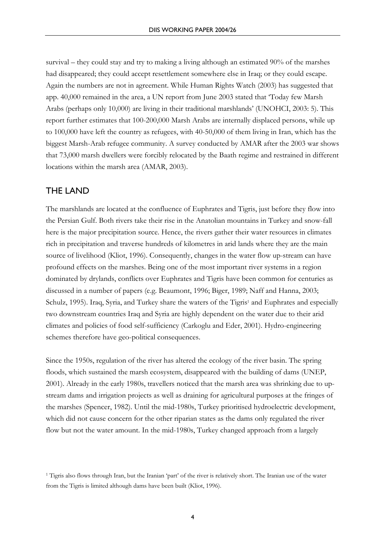survival – they could stay and try to making a living although an estimated 90% of the marshes had disappeared; they could accept resettlement somewhere else in Iraq; or they could escape. Again the numbers are not in agreement. While Human Rights Watch (2003) has suggested that app. 40,000 remained in the area, a UN report from June 2003 stated that 'Today few Marsh Arabs (perhaps only 10,000) are living in their traditional marshlands' (UNOHCI, 2003: 5). This report further estimates that 100-200,000 Marsh Arabs are internally displaced persons, while up to 100,000 have left the country as refugees, with 40-50,000 of them living in Iran, which has the biggest Marsh-Arab refugee community. A survey conducted by AMAR after the 2003 war shows that 73,000 marsh dwellers were forcibly relocated by the Baath regime and restrained in different locations within the marsh area (AMAR, 2003).

#### THE LAND

The marshlands are located at the confluence of Euphrates and Tigris, just before they flow into the Persian Gulf. Both rivers take their rise in the Anatolian mountains in Turkey and snow-fall here is the major precipitation source. Hence, the rivers gather their water resources in climates rich in precipitation and traverse hundreds of kilometres in arid lands where they are the main source of livelihood (Kliot, 1996). Consequently, changes in the water flow up-stream can have profound effects on the marshes. Being one of the most important river systems in a region dominated by drylands, conflicts over Euphrates and Tigris have been common for centuries as discussed in a number of papers (e.g. Beaumont, 1996; Biger, 1989; Naff and Hanna, 2003; Schulz, 1995). Iraq, Syria, and Turkey share the waters of the Tigris<sup>1</sup> and Euphrates and especially two downstream countries Iraq and Syria are highly dependent on the water due to their arid climates and policies of food self-sufficiency (Carkoglu and Eder, 2001). Hydro-engineering schemes therefore have geo-political consequences.

Since the 1950s, regulation of the river has altered the ecology of the river basin. The spring floods, which sustained the marsh ecosystem, disappeared with the building of dams (UNEP, 2001). Already in the early 1980s, travellers noticed that the marsh area was shrinking due to upstream dams and irrigation projects as well as draining for agricultural purposes at the fringes of the marshes (Spencer, 1982). Until the mid-1980s, Turkey prioritised hydroelectric development, which did not cause concern for the other riparian states as the dams only regulated the river flow but not the water amount. In the mid-1980s, Turkey changed approach from a largely

<sup>1</sup> Tigris also flows through Iran, but the Iranian 'part' of the river is relatively short. The Iranian use of the water from the Tigris is limited although dams have been built (Kliot, 1996).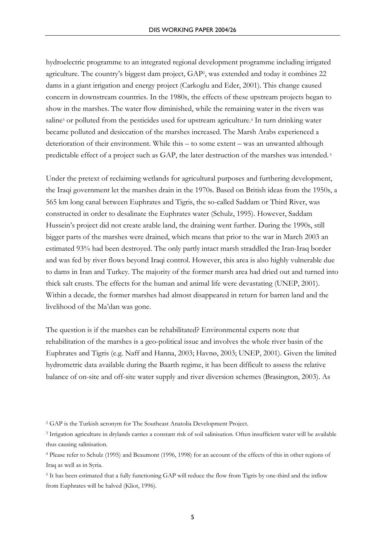hydroelectric programme to an integrated regional development programme including irrigated agriculture. The country's biggest dam project, GAP2, was extended and today it combines 22 dams in a giant irrigation and energy project (Carkoglu and Eder, 2001). This change caused concern in downstream countries. In the 1980s, the effects of these upstream projects began to show in the marshes. The water flow diminished, while the remaining water in the rivers was saline<sup>3</sup> or polluted from the pesticides used for upstream agriculture.<sup>4</sup> In turn drinking water became polluted and desiccation of the marshes increased. The Marsh Arabs experienced a deterioration of their environment. While this – to some extent – was an unwanted although predictable effect of a project such as GAP, the later destruction of the marshes was intended. 5

Under the pretext of reclaiming wetlands for agricultural purposes and furthering development, the Iraqi government let the marshes drain in the 1970s. Based on British ideas from the 1950s, a 565 km long canal between Euphrates and Tigris, the so-called Saddam or Third River, was constructed in order to desalinate the Euphrates water (Schulz, 1995). However, Saddam Hussein's project did not create arable land, the draining went further. During the 1990s, still bigger parts of the marshes were drained, which means that prior to the war in March 2003 an estimated 93% had been destroyed. The only partly intact marsh straddled the Iran-Iraq border and was fed by river flows beyond Iraqi control. However, this area is also highly vulnerable due to dams in Iran and Turkey. The majority of the former marsh area had dried out and turned into thick salt crusts. The effects for the human and animal life were devastating (UNEP, 2001). Within a decade, the former marshes had almost disappeared in return for barren land and the livelihood of the Ma'dan was gone.

The question is if the marshes can be rehabilitated? Environmental experts note that rehabilitation of the marshes is a geo-political issue and involves the whole river basin of the Euphrates and Tigris (e.g. Naff and Hanna, 2003; Havnø, 2003; UNEP, 2001). Given the limited hydrometric data available during the Baarth regime, it has been difficult to assess the relative balance of on-site and off-site water supply and river diversion schemes (Brasington, 2003). As

<sup>2</sup> GAP is the Turkish acronym for The Southeast Anatolia Development Project.

<sup>3</sup> Irrigation agriculture in drylands carries a constant risk of soil salinisation. Often insufficient water will be available thus causing salinisation.

<sup>4</sup> Please refer to Schulz (1995) and Beaumont (1996, 1998) for an account of the effects of this in other regions of Iraq as well as in Syria.

<sup>5</sup> It has been estimated that a fully functioning GAP will reduce the flow from Tigris by one-third and the inflow from Euphrates will be halved (Kliot, 1996).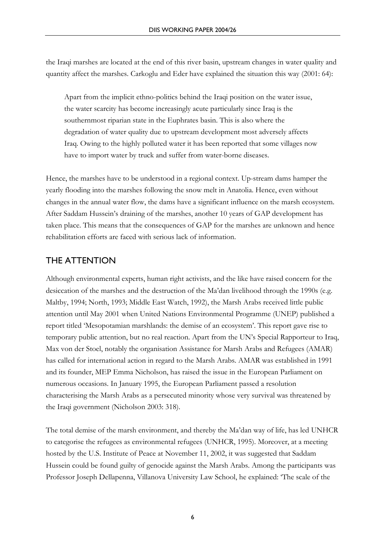the Iraqi marshes are located at the end of this river basin, upstream changes in water quality and quantity affect the marshes. Carkoglu and Eder have explained the situation this way (2001: 64):

Apart from the implicit ethno-politics behind the Iraqi position on the water issue, the water scarcity has become increasingly acute particularly since Iraq is the southernmost riparian state in the Euphrates basin. This is also where the degradation of water quality due to upstream development most adversely affects Iraq. Owing to the highly polluted water it has been reported that some villages now have to import water by truck and suffer from water-borne diseases.

Hence, the marshes have to be understood in a regional context. Up-stream dams hamper the yearly flooding into the marshes following the snow melt in Anatolia. Hence, even without changes in the annual water flow, the dams have a significant influence on the marsh ecosystem. After Saddam Hussein's draining of the marshes, another 10 years of GAP development has taken place. This means that the consequences of GAP for the marshes are unknown and hence rehabilitation efforts are faced with serious lack of information.

#### THE ATTENTION

Although environmental experts, human right activists, and the like have raised concern for the desiccation of the marshes and the destruction of the Ma'dan livelihood through the 1990s (e.g. Maltby, 1994; North, 1993; Middle East Watch, 1992), the Marsh Arabs received little public attention until May 2001 when United Nations Environmental Programme (UNEP) published a report titled 'Mesopotamian marshlands: the demise of an ecosystem'. This report gave rise to temporary public attention, but no real reaction. Apart from the UN's Special Rapporteur to Iraq, Max von der Stoel, notably the organisation Assistance for Marsh Arabs and Refugees (AMAR) has called for international action in regard to the Marsh Arabs. AMAR was established in 1991 and its founder, MEP Emma Nicholson, has raised the issue in the European Parliament on numerous occasions. In January 1995, the European Parliament passed a resolution characterising the Marsh Arabs as a persecuted minority whose very survival was threatened by the Iraqi government (Nicholson 2003: 318).

The total demise of the marsh environment, and thereby the Ma'dan way of life, has led UNHCR to categorise the refugees as environmental refugees (UNHCR, 1995). Moreover, at a meeting hosted by the U.S. Institute of Peace at November 11, 2002, it was suggested that Saddam Hussein could be found guilty of genocide against the Marsh Arabs. Among the participants was Professor Joseph Dellapenna, Villanova University Law School, he explained: 'The scale of the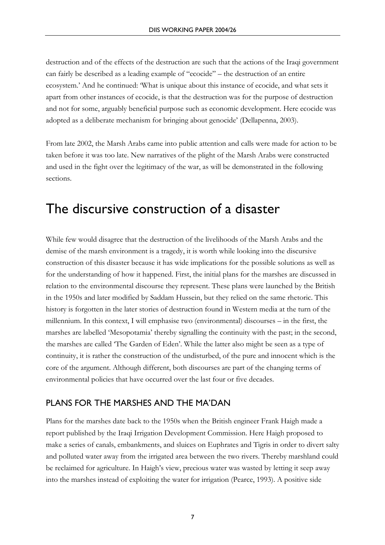destruction and of the effects of the destruction are such that the actions of the Iraqi government can fairly be described as a leading example of "ecocide" – the destruction of an entire ecosystem.' And he continued: 'What is unique about this instance of ecocide, and what sets it apart from other instances of ecocide, is that the destruction was for the purpose of destruction and not for some, arguably beneficial purpose such as economic development. Here ecocide was adopted as a deliberate mechanism for bringing about genocide' (Dellapenna, 2003).

From late 2002, the Marsh Arabs came into public attention and calls were made for action to be taken before it was too late. New narratives of the plight of the Marsh Arabs were constructed and used in the fight over the legitimacy of the war, as will be demonstrated in the following sections.

## The discursive construction of a disaster

While few would disagree that the destruction of the livelihoods of the Marsh Arabs and the demise of the marsh environment is a tragedy, it is worth while looking into the discursive construction of this disaster because it has wide implications for the possible solutions as well as for the understanding of how it happened. First, the initial plans for the marshes are discussed in relation to the environmental discourse they represent. These plans were launched by the British in the 1950s and later modified by Saddam Hussein, but they relied on the same rhetoric. This history is forgotten in the later stories of destruction found in Western media at the turn of the millennium. In this context, I will emphasise two (environmental) discourses – in the first, the marshes are labelled 'Mesopotamia' thereby signalling the continuity with the past; in the second, the marshes are called 'The Garden of Eden'. While the latter also might be seen as a type of continuity, it is rather the construction of the undisturbed, of the pure and innocent which is the core of the argument. Although different, both discourses are part of the changing terms of environmental policies that have occurred over the last four or five decades.

#### PLANS FOR THE MARSHES AND THE MA'DAN

Plans for the marshes date back to the 1950s when the British engineer Frank Haigh made a report published by the Iraqi Irrigation Development Commission. Here Haigh proposed to make a series of canals, embankments, and sluices on Euphrates and Tigris in order to divert salty and polluted water away from the irrigated area between the two rivers. Thereby marshland could be reclaimed for agriculture. In Haigh's view, precious water was wasted by letting it seep away into the marshes instead of exploiting the water for irrigation (Pearce, 1993). A positive side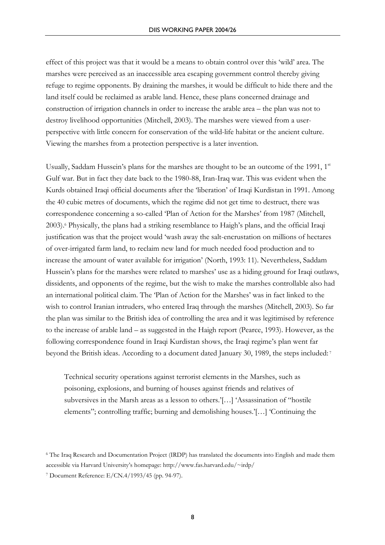effect of this project was that it would be a means to obtain control over this 'wild' area. The marshes were perceived as an inaccessible area escaping government control thereby giving refuge to regime opponents. By draining the marshes, it would be difficult to hide there and the land itself could be reclaimed as arable land. Hence, these plans concerned drainage and construction of irrigation channels in order to increase the arable area – the plan was not to destroy livelihood opportunities (Mitchell, 2003). The marshes were viewed from a userperspective with little concern for conservation of the wild-life habitat or the ancient culture. Viewing the marshes from a protection perspective is a later invention.

Usually, Saddam Hussein's plans for the marshes are thought to be an outcome of the 1991, 1st Gulf war. But in fact they date back to the 1980-88, Iran-Iraq war. This was evident when the Kurds obtained Iraqi official documents after the 'liberation' of Iraqi Kurdistan in 1991. Among the 40 cubic metres of documents, which the regime did not get time to destruct, there was correspondence concerning a so-called 'Plan of Action for the Marshes' from 1987 (Mitchell, 2003).6 Physically, the plans had a striking resemblance to Haigh's plans, and the official Iraqi justification was that the project would 'wash away the salt-encrustation on millions of hectares of over-irrigated farm land, to reclaim new land for much needed food production and to increase the amount of water available for irrigation' (North, 1993: 11). Nevertheless, Saddam Hussein's plans for the marshes were related to marshes' use as a hiding ground for Iraqi outlaws, dissidents, and opponents of the regime, but the wish to make the marshes controllable also had an international political claim. The 'Plan of Action for the Marshes' was in fact linked to the wish to control Iranian intruders, who entered Iraq through the marshes (Mitchell, 2003). So far the plan was similar to the British idea of controlling the area and it was legitimised by reference to the increase of arable land – as suggested in the Haigh report (Pearce, 1993). However, as the following correspondence found in Iraqi Kurdistan shows, the Iraqi regime's plan went far beyond the British ideas. According to a document dated January 30, 1989, the steps included: 7

Technical security operations against terrorist elements in the Marshes, such as poisoning, explosions, and burning of houses against friends and relatives of subversives in the Marsh areas as a lesson to others.'[…] 'Assassination of "hostile elements"; controlling traffic; burning and demolishing houses.'[…] 'Continuing the

<sup>6</sup> The Iraq Research and Documentation Project (IRDP) has translated the documents into English and made them

accessible via Harvard University's homepage: http://www.fas.harvard.edu/~irdp/

<sup>7</sup> Document Reference: E/CN.4/1993/45 (pp. 94-97).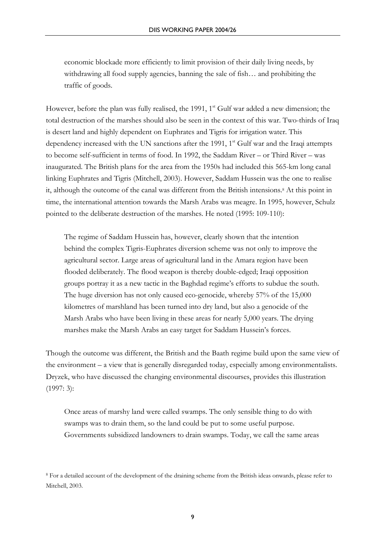economic blockade more efficiently to limit provision of their daily living needs, by withdrawing all food supply agencies, banning the sale of fish… and prohibiting the traffic of goods.

However, before the plan was fully realised, the 1991,  $1<sup>st</sup>$  Gulf war added a new dimension; the total destruction of the marshes should also be seen in the context of this war. Two-thirds of Iraq is desert land and highly dependent on Euphrates and Tigris for irrigation water. This dependency increased with the UN sanctions after the 1991,  $1<sup>st</sup>$  Gulf war and the Iraqi attempts to become self-sufficient in terms of food. In 1992, the Saddam River – or Third River – was inaugurated. The British plans for the area from the 1950s had included this 565-km long canal linking Euphrates and Tigris (Mitchell, 2003). However, Saddam Hussein was the one to realise it, although the outcome of the canal was different from the British intensions.8 At this point in time, the international attention towards the Marsh Arabs was meagre. In 1995, however, Schulz pointed to the deliberate destruction of the marshes. He noted (1995: 109-110):

The regime of Saddam Hussein has, however, clearly shown that the intention behind the complex Tigris-Euphrates diversion scheme was not only to improve the agricultural sector. Large areas of agricultural land in the Amara region have been flooded deliberately. The flood weapon is thereby double-edged; Iraqi opposition groups portray it as a new tactic in the Baghdad regime's efforts to subdue the south. The huge diversion has not only caused eco-genocide, whereby 57% of the 15,000 kilometres of marshland has been turned into dry land, but also a genocide of the Marsh Arabs who have been living in these areas for nearly 5,000 years. The drying marshes make the Marsh Arabs an easy target for Saddam Hussein's forces.

Though the outcome was different, the British and the Baath regime build upon the same view of the environment – a view that is generally disregarded today, especially among environmentalists. Dryzek, who have discussed the changing environmental discourses, provides this illustration (1997: 3):

Once areas of marshy land were called swamps. The only sensible thing to do with swamps was to drain them, so the land could be put to some useful purpose. Governments subsidized landowners to drain swamps. Today, we call the same areas

<sup>8</sup> For a detailed account of the development of the draining scheme from the British ideas onwards, please refer to Mitchell, 2003.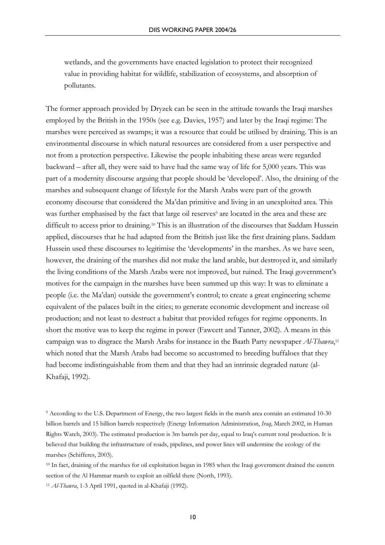wetlands, and the governments have enacted legislation to protect their recognized value in providing habitat for wildlife, stabilization of ecosystems, and absorption of pollutants.

The former approach provided by Dryzek can be seen in the attitude towards the Iraqi marshes employed by the British in the 1950s (see e.g. Davies, 1957) and later by the Iraqi regime: The marshes were perceived as swamps; it was a resource that could be utilised by draining. This is an environmental discourse in which natural resources are considered from a user perspective and not from a protection perspective. Likewise the people inhabiting these areas were regarded backward – after all, they were said to have had the same way of life for 5,000 years. This was part of a modernity discourse arguing that people should be 'developed'. Also, the draining of the marshes and subsequent change of lifestyle for the Marsh Arabs were part of the growth economy discourse that considered the Ma'dan primitive and living in an unexploited area. This was further emphasised by the fact that large oil reserves<sup>9</sup> are located in the area and these are difficult to access prior to draining.10 This is an illustration of the discourses that Saddam Hussein applied, discourses that he had adapted from the British just like the first draining plans. Saddam Hussein used these discourses to legitimise the 'developments' in the marshes. As we have seen, however, the draining of the marshes did not make the land arable, but destroyed it, and similarly the living conditions of the Marsh Arabs were not improved, but ruined. The Iraqi government's motives for the campaign in the marshes have been summed up this way: It was to eliminate a people (i.e. the Ma'dan) outside the government's control; to create a great engineering scheme equivalent of the palaces built in the cities; to generate economic development and increase oil production; and not least to destruct a habitat that provided refuges for regime opponents. In short the motive was to keep the regime in power (Fawcett and Tanner, 2002). A means in this campaign was to disgrace the Marsh Arabs for instance in the Baath Party newspaper *Al-Thawra*,11 which noted that the Marsh Arabs had become so accustomed to breeding buffaloes that they had become indistinguishable from them and that they had an intrinsic degraded nature (al-Khafaji, 1992).

<sup>&</sup>lt;sup>9</sup> According to the U.S. Department of Energy, the two largest fields in the marsh area contain an estimated 10-30 billion barrels and 15 billion barrels respectively (Energy Information Administration, *Iraq*, March 2002, in Human Rights Watch, 2003). The estimated production is 3m barrels per day, equal to Iraq's current total production. It is believed that building the infrastructure of roads, pipelines, and power lines will undermine the ecology of the marshes (Schifferes, 2003).

<sup>&</sup>lt;sup>10</sup> In fact, draining of the marshes for oil exploitation began in 1985 when the Iraqi government drained the eastern section of the Al Hammar marsh to exploit an oilfield there (North, 1993). <sup>11</sup> *Al-Thawra*, 1-3 April 1991, quoted in al-Khafaji (1992).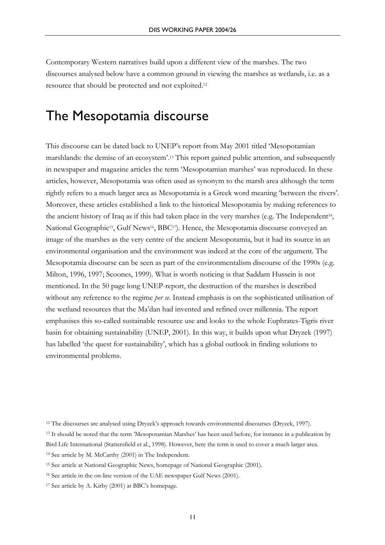Contemporary Western narratives build upon a different view of the marshes. The two discourses analysed below have a common ground in viewing the marshes as wetlands, i.e. as a resource that should be protected and not exploited.12

### The Mesopotamia discourse

This discourse can be dated back to UNEP's report from May 2001 titled 'Mesopotamian marshlands: the demise of an ecosystem'.13 This report gained public attention, and subsequently in newspaper and magazine articles the term 'Mesopotamian marshes' was reproduced. In these articles, however, Mesopotamia was often used as synonym to the marsh area although the term rightly refers to a much larger area as Mesopotamia is a Greek word meaning 'between the rivers'. Moreover, these articles established a link to the historical Mesopotamia by making references to the ancient history of Iraq as if this had taken place in the very marshes (e.g. The Independent14, National Geographic<sup>15</sup>, Gulf News<sup>16</sup>, BBC<sup>17</sup>). Hence, the Mesopotamia discourse conveyed an image of the marshes as the very centre of the ancient Mesopotamia, but it had its source in an environmental organisation and the environment was indeed at the core of the argument. The Mesopotamia discourse can be seen as part of the environmentalism discourse of the 1990s (e.g. Milton, 1996, 1997; Scoones, 1999). What is worth noticing is that Saddam Hussein is not mentioned. In the 50 page long UNEP-report, the destruction of the marshes is described without any reference to the regime *per se*. Instead emphasis is on the sophisticated utilisation of the wetland resources that the Ma'dan had invented and refined over millennia. The report emphasises this so-called sustainable resource use and looks to the whole Euphrates-Tigris river basin for obtaining sustainability (UNEP, 2001). In this way, it builds upon what Dryzek (1997) has labelled 'the quest for sustainability', which has a global outlook in finding solutions to environmental problems.

<sup>12</sup> The discourses are analysed using Dryzek's approach towards environmental discourses (Dryzek, 1997).

<sup>13</sup> It should be noted that the term 'Mesopotamian Marshes' has been used before, for instance in a publication by Bird Life International (Stattersfield et al., 1998). However, here the term is used to cover a much larger area.

<sup>14</sup> See article by M. McCarthy (2001) in The Independent.

<sup>15</sup> See article at National Geographic News, homepage of National Geographic (2001).

<sup>16</sup> See article in the on-line version of the UAE newspaper Gulf News (2001).

<sup>17</sup> See article by A. Kirby (2001) at BBC's homepage.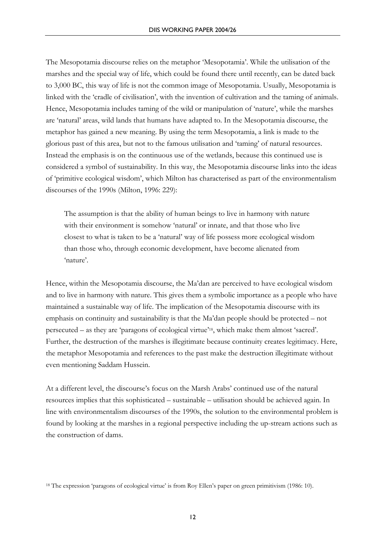The Mesopotamia discourse relies on the metaphor 'Mesopotamia'. While the utilisation of the marshes and the special way of life, which could be found there until recently, can be dated back to 3,000 BC, this way of life is not the common image of Mesopotamia. Usually, Mesopotamia is linked with the 'cradle of civilisation', with the invention of cultivation and the taming of animals. Hence, Mesopotamia includes taming of the wild or manipulation of 'nature', while the marshes are 'natural' areas, wild lands that humans have adapted to. In the Mesopotamia discourse, the metaphor has gained a new meaning. By using the term Mesopotamia, a link is made to the glorious past of this area, but not to the famous utilisation and 'taming' of natural resources. Instead the emphasis is on the continuous use of the wetlands, because this continued use is considered a symbol of sustainability. In this way, the Mesopotamia discourse links into the ideas of 'primitive ecological wisdom', which Milton has characterised as part of the environmentalism discourses of the 1990s (Milton, 1996: 229):

The assumption is that the ability of human beings to live in harmony with nature with their environment is somehow 'natural' or innate, and that those who live closest to what is taken to be a 'natural' way of life possess more ecological wisdom than those who, through economic development, have become alienated from 'nature'.

Hence, within the Mesopotamia discourse, the Ma'dan are perceived to have ecological wisdom and to live in harmony with nature. This gives them a symbolic importance as a people who have maintained a sustainable way of life. The implication of the Mesopotamia discourse with its emphasis on continuity and sustainability is that the Ma'dan people should be protected – not persecuted – as they are 'paragons of ecological virtue'18, which make them almost 'sacred'. Further, the destruction of the marshes is illegitimate because continuity creates legitimacy. Here, the metaphor Mesopotamia and references to the past make the destruction illegitimate without even mentioning Saddam Hussein.

At a different level, the discourse's focus on the Marsh Arabs' continued use of the natural resources implies that this sophisticated – sustainable – utilisation should be achieved again. In line with environmentalism discourses of the 1990s, the solution to the environmental problem is found by looking at the marshes in a regional perspective including the up-stream actions such as the construction of dams.

<sup>18</sup> The expression 'paragons of ecological virtue' is from Roy Ellen's paper on green primitivism (1986: 10).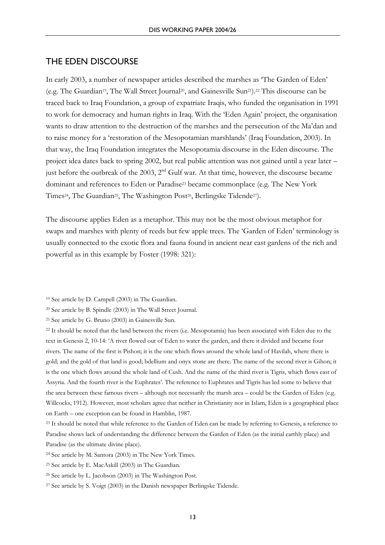#### THE EDEN DISCOURSE

In early 2003, a number of newspaper articles described the marshes as 'The Garden of Eden' (e.g. The Guardian19, The Wall Street Journal20, and Gainesville Sun21).22 This discourse can be traced back to Iraq Foundation, a group of expatriate Iraqis, who funded the organisation in 1991 to work for democracy and human rights in Iraq. With the 'Eden Again' project, the organisation wants to draw attention to the destruction of the marshes and the persecution of the Ma'dan and to raise money for a 'restoration of the Mesopotamian marshlands' (Iraq Foundation, 2003). In that way, the Iraq Foundation integrates the Mesopotamia discourse in the Eden discourse. The project idea dates back to spring 2002, but real public attention was not gained until a year later – just before the outbreak of the 2003, 2<sup>nd</sup> Gulf war. At that time, however, the discourse became dominant and references to Eden or Paradise23 became commonplace (e.g. The New York Times<sup>24</sup>, The Guardian<sup>25</sup>, The Washington Post<sup>26</sup>, Berlingske Tidende<sup>27</sup>).

The discourse applies Eden as a metaphor. This may not be the most obvious metaphor for swaps and marshes with plenty of reeds but few apple trees. The 'Garden of Eden' terminology is usually connected to the exotic flora and fauna found in ancient near east gardens of the rich and powerful as in this example by Foster (1998: 321):

21 See article by G. Bruno (2003) in Gainesville Sun.

<sup>22</sup> It should be noted that the land between the rivers (i.e. Mesopotamia) has been associated with Eden due to the text in Genesis 2, 10-14: 'A river flowed out of Eden to water the garden, and there it divided and became four rivers. The name of the first is Pishon; it is the one which flows around the whole land of Havilah, where there is gold; and the gold of that land is good; bdellium and onyx stone are there. The name of the second river is Gihon; it is the one which flows around the whole land of Cush. And the name of the third river is Tigris, which flows east of Assyria. And the fourth river is the Euphrates'. The reference to Euphrates and Tigris has led some to believe that the area between these famous rivers – although not necessarily the marsh area – could be the Garden of Eden (e.g. Willcocks, 1912). However, most scholars agree that neither in Christianity nor in Islam, Eden is a geographical place on Earth – one exception can be found in Hamblin, 1987.

<sup>19</sup> See article by D. Campell (2003) in The Guardian.

<sup>20</sup> See article by B. Spindle (2003) in The Wall Street Journal.

<sup>&</sup>lt;sup>23</sup> It should be noted that while reference to the Garden of Eden can be made by referring to Genesis, a reference to Paradise shows lack of understanding the difference between the Garden of Eden (as the initial earthly place) and Paradise (as the ultimate divine place).

<sup>24</sup> See article by M. Santora (2003) in The New York Times.

<sup>25</sup> See article by E. MacAskill (2003) in The Guardian.

<sup>26</sup> See article by L. Jacobson (2003) in The Washington Post.

<sup>27</sup> See article by S. Voigt (2003) in the Danish newspaper Berlingske Tidende.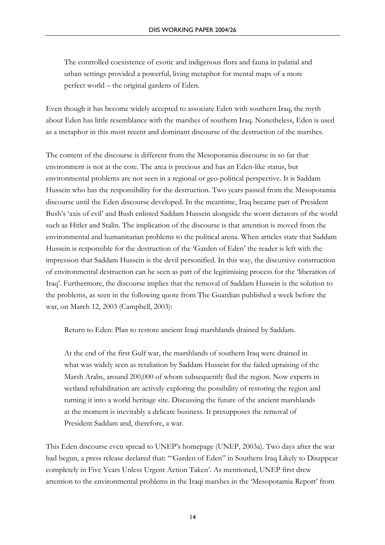The controlled coexistence of exotic and indigenous flora and fauna in palatial and urban settings provided a powerful, living metaphor for mental maps of a more perfect world – the original gardens of Eden.

Even though it has become widely accepted to associate Eden with southern Iraq, the myth about Eden has little resemblance with the marshes of southern Iraq. Nonetheless, Eden is used as a metaphor in this most recent and dominant discourse of the destruction of the marshes.

The content of the discourse is different from the Mesopotamia discourse in so far that environment is not at the core. The area is precious and has an Eden-like status, but environmental problems are not seen in a regional or geo-political perspective. It is Saddam Hussein who has the responsibility for the destruction. Two years passed from the Mesopotamia discourse until the Eden discourse developed. In the meantime, Iraq became part of President Bush's 'axis of evil' and Bush enlisted Saddam Hussein alongside the worst dictators of the world such as Hitler and Stalin. The implication of the discourse is that attention is moved from the environmental and humanitarian problems to the political arena. When articles state that Saddam Hussein is responsible for the destruction of the 'Garden of Eden' the reader is left with the impression that Saddam Hussein is the devil personified. In this way, the discursive construction of environmental destruction can be seen as part of the legitimising process for the 'liberation of Iraq'. Furthermore, the discourse implies that the removal of Saddam Hussein is the solution to the problems, as seen in the following quote from The Guardian published a week before the war, on March 12, 2003 (Campbell, 2003):

Return to Eden: Plan to restore ancient Iraqi marshlands drained by Saddam.

At the end of the first Gulf war, the marshlands of southern Iraq were drained in what was widely seen as retaliation by Saddam Hussein for the failed upraising of the Marsh Arabs, around 200,000 of whom subsequently fled the region. Now experts in wetland rehabilitation are actively exploring the possibility of restoring the region and turning it into a world heritage site. Discussing the future of the ancient marshlands at the moment is inevitably a delicate business. It presupposes the removal of President Saddam and, therefore, a war.

This Eden discourse even spread to UNEP's homepage (UNEP, 2003a). Two days after the war had begun, a press release declared that: '"Garden of Eden" in Southern Iraq Likely to Disappear completely in Five Years Unless Urgent Action Taken'. As mentioned, UNEP first drew attention to the environmental problems in the Iraqi marshes in the 'Mesopotamia Report' from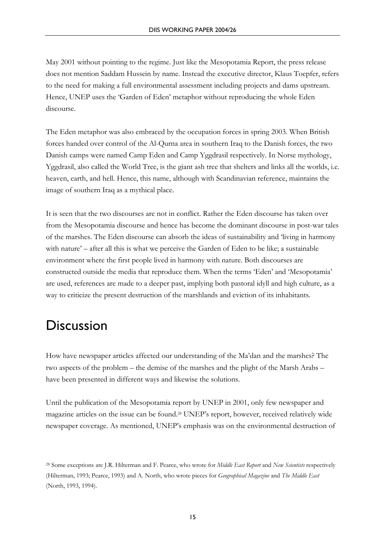May 2001 without pointing to the regime. Just like the Mesopotamia Report, the press release does not mention Saddam Hussein by name. Instead the executive director, Klaus Toepfer, refers to the need for making a full environmental assessment including projects and dams upstream. Hence, UNEP uses the 'Garden of Eden' metaphor without reproducing the whole Eden discourse.

The Eden metaphor was also embraced by the occupation forces in spring 2003. When British forces handed over control of the Al-Qurna area in southern Iraq to the Danish forces, the two Danish camps were named Camp Eden and Camp Yggdrasil respectively. In Norse mythology, Yggdrasil, also called the World Tree, is the giant ash tree that shelters and links all the worlds, i.e. heaven, earth, and hell. Hence, this name, although with Scandinavian reference, maintains the image of southern Iraq as a mythical place.

It is seen that the two discourses are not in conflict. Rather the Eden discourse has taken over from the Mesopotamia discourse and hence has become the dominant discourse in post-war tales of the marshes. The Eden discourse can absorb the ideas of sustainability and 'living in harmony with nature' – after all this is what we perceive the Garden of Eden to be like; a sustainable environment where the first people lived in harmony with nature. Both discourses are constructed outside the media that reproduce them. When the terms 'Eden' and 'Mesopotamia' are used, references are made to a deeper past, implying both pastoral idyll and high culture, as a way to criticize the present destruction of the marshlands and eviction of its inhabitants.

### **Discussion**

How have newspaper articles affected our understanding of the Ma'dan and the marshes? The two aspects of the problem – the demise of the marshes and the plight of the Marsh Arabs – have been presented in different ways and likewise the solutions.

Until the publication of the Mesopotamia report by UNEP in 2001, only few newspaper and magazine articles on the issue can be found.28 UNEP's report, however, received relatively wide newspaper coverage. As mentioned, UNEP's emphasis was on the environmental destruction of

<sup>28</sup> Some exceptions are J.R. Hilterman and F. Pearce, who wrote for *Middle East Report* and *New Scientists* respectively (Hilterman, 1993; Pearce, 1993) and A. North, who wrote pieces for *Geographical Magazine* and *The Middle East* (North, 1993, 1994).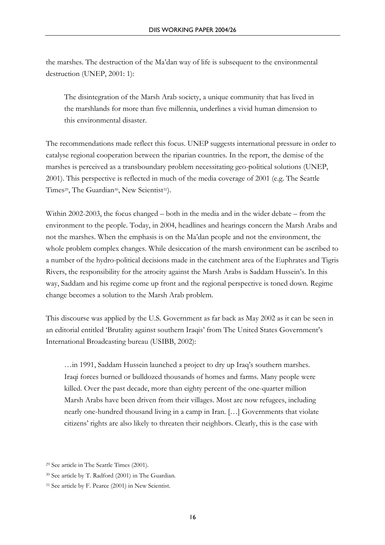the marshes. The destruction of the Ma'dan way of life is subsequent to the environmental destruction (UNEP, 2001: 1):

The disintegration of the Marsh Arab society, a unique community that has lived in the marshlands for more than five millennia, underlines a vivid human dimension to this environmental disaster.

The recommendations made reflect this focus. UNEP suggests international pressure in order to catalyse regional cooperation between the riparian countries. In the report, the demise of the marshes is perceived as a transboundary problem necessitating geo-political solutions (UNEP, 2001). This perspective is reflected in much of the media coverage of 2001 (e.g. The Seattle Times<sup>29</sup>, The Guardian<sup>30</sup>, New Scientist<sup>31</sup>).

Within 2002-2003, the focus changed – both in the media and in the wider debate – from the environment to the people. Today, in 2004, headlines and hearings concern the Marsh Arabs and not the marshes. When the emphasis is on the Ma'dan people and not the environment, the whole problem complex changes. While desiccation of the marsh environment can be ascribed to a number of the hydro-political decisions made in the catchment area of the Euphrates and Tigris Rivers, the responsibility for the atrocity against the Marsh Arabs is Saddam Hussein's. In this way, Saddam and his regime come up front and the regional perspective is toned down. Regime change becomes a solution to the Marsh Arab problem.

This discourse was applied by the U.S. Government as far back as May 2002 as it can be seen in an editorial entitled 'Brutality against southern Iraqis' from The United States Government's International Broadcasting bureau (USIBB, 2002):

…in 1991, Saddam Hussein launched a project to dry up Iraq's southern marshes. Iraqi forces burned or bulldozed thousands of homes and farms. Many people were killed. Over the past decade, more than eighty percent of the one-quarter million Marsh Arabs have been driven from their villages. Most are now refugees, including nearly one-hundred thousand living in a camp in Iran. […] Governments that violate citizens' rights are also likely to threaten their neighbors. Clearly, this is the case with

<sup>29</sup> See article in The Seattle Times (2001).

<sup>30</sup> See article by T. Radford (2001) in The Guardian.

<sup>31</sup> See article by F. Pearce (2001) in New Scientist.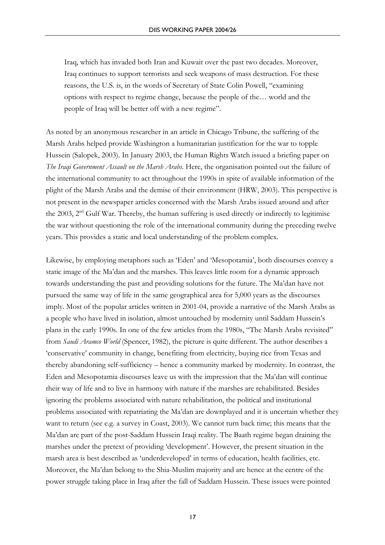Iraq, which has invaded both Iran and Kuwait over the past two decades. Moreover, Iraq continues to support terrorists and seek weapons of mass destruction. For these reasons, the U.S. is, in the words of Secretary of State Colin Powell, "examining options with respect to regime change, because the people of the… world and the people of Iraq will be better off with a new regime".

As noted by an anonymous researcher in an article in Chicago Tribune, the suffering of the Marsh Arabs helped provide Washington a humanitarian justification for the war to topple Hussein (Salopek, 2003). In January 2003, the Human Rights Watch issued a briefing paper on *The Iraqi Government Assault on the Marsh Arabs*. Here, the organisation pointed out the failure of the international community to act throughout the 1990s in spite of available information of the plight of the Marsh Arabs and the demise of their environment (HRW, 2003). This perspective is not present in the newspaper articles concerned with the Marsh Arabs issued around and after the 2003,  $2<sup>nd</sup>$  Gulf War. Thereby, the human suffering is used directly or indirectly to legitimise the war without questioning the role of the international community during the preceding twelve years. This provides a static and local understanding of the problem complex.

Likewise, by employing metaphors such as 'Eden' and 'Mesopotamia', both discourses convey a static image of the Ma'dan and the marshes. This leaves little room for a dynamic approach towards understanding the past and providing solutions for the future. The Ma'dan have not pursued the same way of life in the same geographical area for 5,000 years as the discourses imply. Most of the popular articles written in 2001-04, provide a narrative of the Marsh Arabs as a people who have lived in isolation, almost untouched by modernity until Saddam Hussein's plans in the early 1990s. In one of the few articles from the 1980s, "The Marsh Arabs revisited" from *Saudi Aramco World* (Spencer, 1982), the picture is quite different. The author describes a 'conservative' community in change, benefiting from electricity, buying rice from Texas and thereby abandoning self-sufficiency – hence a community marked by modernity. In contrast, the Eden and Mesopotamia discourses leave us with the impression that the Ma'dan will continue their way of life and to live in harmony with nature if the marshes are rehabilitated. Besides ignoring the problems associated with nature rehabilitation, the political and institutional problems associated with repatriating the Ma'dan are downplayed and it is uncertain whether they want to return (see e.g. a survey in Coast, 2003). We cannot turn back time; this means that the Ma'dan are part of the post-Saddam Hussein Iraqi reality. The Baath regime began draining the marshes under the pretext of providing 'development'. However, the present situation in the marsh area is best described as 'underdeveloped' in terms of education, health facilities, etc. Moreover, the Ma'dan belong to the Shia-Muslim majority and are hence at the centre of the power struggle taking place in Iraq after the fall of Saddam Hussein. These issues were pointed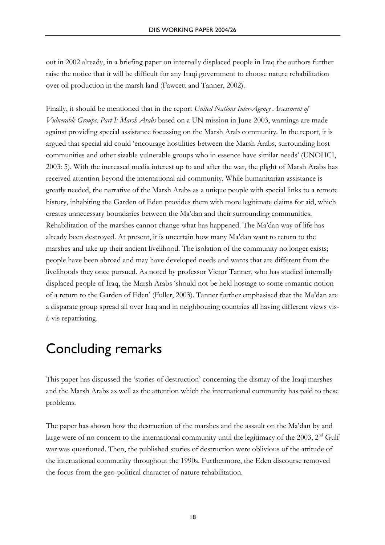out in 2002 already, in a briefing paper on internally displaced people in Iraq the authors further raise the notice that it will be difficult for any Iraqi government to choose nature rehabilitation over oil production in the marsh land (Fawcett and Tanner, 2002).

Finally, it should be mentioned that in the report *United Nations Inter-Agency Assessment of Vulnerable Groups. Part I: Marsh Arabs* based on a UN mission in June 2003, warnings are made against providing special assistance focussing on the Marsh Arab community. In the report, it is argued that special aid could 'encourage hostilities between the Marsh Arabs, surrounding host communities and other sizable vulnerable groups who in essence have similar needs' (UNOHCI, 2003: 5). With the increased media interest up to and after the war, the plight of Marsh Arabs has received attention beyond the international aid community. While humanitarian assistance is greatly needed, the narrative of the Marsh Arabs as a unique people with special links to a remote history, inhabiting the Garden of Eden provides them with more legitimate claims for aid, which creates unnecessary boundaries between the Ma'dan and their surrounding communities. Rehabilitation of the marshes cannot change what has happened. The Ma'dan way of life has already been destroyed. At present, it is uncertain how many Ma'dan want to return to the marshes and take up their ancient livelihood. The isolation of the community no longer exists; people have been abroad and may have developed needs and wants that are different from the livelihoods they once pursued. As noted by professor Victor Tanner, who has studied internally displaced people of Iraq, the Marsh Arabs 'should not be held hostage to some romantic notion of a return to the Garden of Eden' (Fuller, 2003). Tanner further emphasised that the Ma'dan are a disparate group spread all over Iraq and in neighbouring countries all having different views visà-vis repatriating.

# Concluding remarks

This paper has discussed the 'stories of destruction' concerning the dismay of the Iraqi marshes and the Marsh Arabs as well as the attention which the international community has paid to these problems.

The paper has shown how the destruction of the marshes and the assault on the Ma'dan by and large were of no concern to the international community until the legitimacy of the 2003,  $2<sup>nd</sup>$  Gulf war was questioned. Then, the published stories of destruction were oblivious of the attitude of the international community throughout the 1990s. Furthermore, the Eden discourse removed the focus from the geo-political character of nature rehabilitation.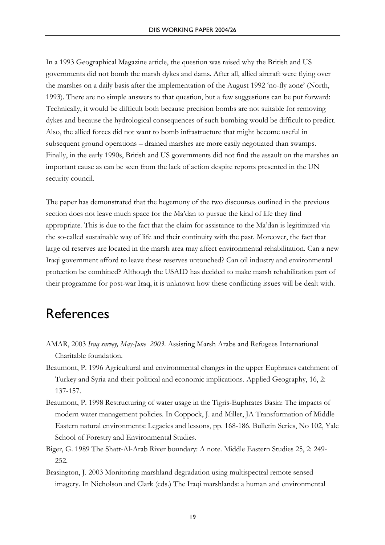In a 1993 Geographical Magazine article, the question was raised why the British and US governments did not bomb the marsh dykes and dams. After all, allied aircraft were flying over the marshes on a daily basis after the implementation of the August 1992 'no-fly zone' (North, 1993). There are no simple answers to that question, but a few suggestions can be put forward: Technically, it would be difficult both because precision bombs are not suitable for removing dykes and because the hydrological consequences of such bombing would be difficult to predict. Also, the allied forces did not want to bomb infrastructure that might become useful in subsequent ground operations – drained marshes are more easily negotiated than swamps. Finally, in the early 1990s, British and US governments did not find the assault on the marshes an important cause as can be seen from the lack of action despite reports presented in the UN security council.

The paper has demonstrated that the hegemony of the two discourses outlined in the previous section does not leave much space for the Ma'dan to pursue the kind of life they find appropriate. This is due to the fact that the claim for assistance to the Ma'dan is legitimized via the so-called sustainable way of life and their continuity with the past. Moreover, the fact that large oil reserves are located in the marsh area may affect environmental rehabilitation. Can a new Iraqi government afford to leave these reserves untouched? Can oil industry and environmental protection be combined? Although the USAID has decided to make marsh rehabilitation part of their programme for post-war Iraq, it is unknown how these conflicting issues will be dealt with.

## **References**

- AMAR, 2003 *Iraq survey, May-June 2003*. Assisting Marsh Arabs and Refugees International Charitable foundation.
- Beaumont, P. 1996 Agricultural and environmental changes in the upper Euphrates catchment of Turkey and Syria and their political and economic implications. Applied Geography, 16, 2: 137-157.
- Beaumont, P. 1998 Restructuring of water usage in the Tigris-Euphrates Basin: The impacts of modern water management policies. In Coppock, J. and Miller, JA Transformation of Middle Eastern natural environments: Legacies and lessons, pp. 168-186. Bulletin Series, No 102, Yale School of Forestry and Environmental Studies.
- Biger, G. 1989 The Shatt-Al-Arab River boundary: A note. Middle Eastern Studies 25, 2: 249- 252.
- Brasington, J. 2003 Monitoring marshland degradation using multispectral remote sensed imagery. In Nicholson and Clark (eds.) The Iraqi marshlands: a human and environmental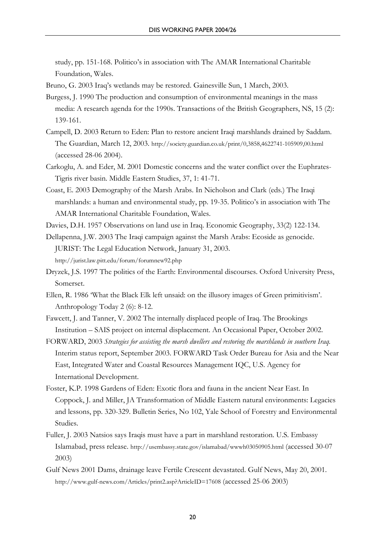study, pp. 151-168. Politico's in association with The AMAR International Charitable Foundation, Wales.

- Bruno, G. 2003 Iraq's wetlands may be restored. Gainesville Sun, 1 March, 2003.
- Burgess, J. 1990 The production and consumption of environmental meanings in the mass media: A research agenda for the 1990s. Transactions of the British Geographers, NS, 15 (2): 139-161.
- Campell, D. 2003 Return to Eden: Plan to restore ancient Iraqi marshlands drained by Saddam. The Guardian, March 12, 2003. http://society.guardian.co.uk/print/0,3858,4622741-105909,00.html (accessed 28-06 2004).
- Carkoglu, A. and Eder, M. 2001 Domestic concerns and the water conflict over the Euphrates-Tigris river basin. Middle Eastern Studies, 37, 1: 41-71.
- Coast, E. 2003 Demography of the Marsh Arabs. In Nicholson and Clark (eds.) The Iraqi marshlands: a human and environmental study, pp. 19-35. Politico's in association with The AMAR International Charitable Foundation, Wales.
- Davies, D.H. 1957 Observations on land use in Iraq. Economic Geography, 33(2) 122-134.

Dellapenna, J.W. 2003 The Iraqi campaign against the Marsh Arabs: Ecoside as genocide. JURIST: The Legal Education Network, January 31, 2003. http://jurist.law.pitt.edu/forum/forumnew92.php

- Dryzek, J.S. 1997 The politics of the Earth: Environmental discourses. Oxford University Press, Somerset.
- Ellen, R. 1986 'What the Black Elk left unsaid: on the illusory images of Green primitivism'. Anthropology Today 2 (6): 8-12.
- Fawcett, J. and Tanner, V. 2002 The internally displaced people of Iraq. The Brookings Institution – SAIS project on internal displacement. An Occasional Paper, October 2002.
- FORWARD, 2003 *Strategies for assisting the marsh dwellers and restoring the marshlands in southern Iraq.* Interim status report, September 2003. FORWARD Task Order Bureau for Asia and the Near East, Integrated Water and Coastal Resources Management IQC, U.S. Agency for International Development.
- Foster, K.P. 1998 Gardens of Eden: Exotic flora and fauna in the ancient Near East. In Coppock, J. and Miller, JA Transformation of Middle Eastern natural environments: Legacies and lessons, pp. 320-329. Bulletin Series, No 102, Yale School of Forestry and Environmental Studies.
- Fuller, J. 2003 Natsios says Iraqis must have a part in marshland restoration. U.S. Embassy Islamabad, press release. http://usembassy.state.gov/islamabad/wwwh03050905.html (accessed 30-07 2003)
- Gulf News 2001 Dams, drainage leave Fertile Crescent devastated. Gulf News, May 20, 2001. http://www.gulf-news.com/Articles/print2.asp?ArticleID=17608 (accessed 25-06 2003)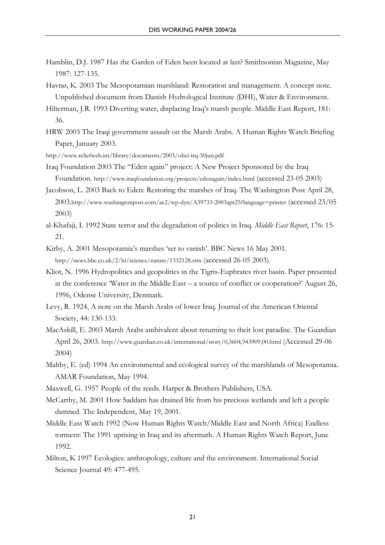- Hamblin, D.J. 1987 Has the Garden of Eden been located at last? Smithsonian Magazine, May 1987: 127-135.
- Havnø, K. 2003 The Mesopotamian marshland: Restoration and management. A concept note. Unpublished document from Danish Hydrological Institute (DHI), Water & Environment.
- Hilterman, J.R. 1993 Diverting water, displacing Iraq's marsh people. Middle East Report, 181: 36.
- HRW 2003 The Iraqi government assault on the Marsh Arabs. A Human Rights Watch Briefing Paper, January 2003.
- http://www.reliefweb.int/library/documents/2003/ohci-irq-30jun.pdf
- Iraq Foundation 2003 The "Eden again" project: A New Project Sponsored by the Iraq Foundation. http://www.iraqfoundation.org/projects/edenagain/index.html (accessed 23-05 2003)
- Jacobson, L. 2003 Back to Eden: Restoring the marshes of Iraq. The Washington Post April 28, 2003.http://www.washingtonpost.com/ac2/wp-dyn/A39733-2003apr25?language=printer (accessed 23/05 2003)
- al-Khafaji, I. 1992 State terror and the degradation of politics in Iraq. *Middle East Report*, 176: 15- 21.
- Kirby, A. 2001 Mesopotamia's marshes 'set to vanish'. BBC News 16 May 2001. http://news.bbc.co.uk/2/hi/science/nature/1332128.stm (accessed 26-05 2003).
- Kliot, N. 1996 Hydropolitics and geopolitics in the Tigris-Euphrates river basin. Paper presented at the conference 'Water in the Middle East – a source of conflict or cooperation?' August 26, 1996, Odense University, Denmark.
- Levy, R. 1924, A note on the Marsh Arabs of lower Iraq. Journal of the American Oriental Society, 44: 130-133.
- MacAskill, E. 2003 Marsh Arabs ambivalent about returning to their lost paradise. The Guardian April 26, 2003. http://www.guardian.co.uk/international/story/0,3604,943909,00.html (Accessed 29-06 2004)
- Maltby, E. (ed) 1994 An environmental and ecological survey of the marshlands of Mesopotamia. AMAR Foundation, May 1994.
- Maxwell, G. 1957 People of the reeds. Harper & Brothers Publishers, USA.
- McCarthy, M. 2001 How Saddam has drained life from his precious wetlands and left a people damned. The Independent, May 19, 2001.
- Middle East Watch 1992 (Now Human Rights Watch/Middle East and North Africa) Endless torment: The 1991 uprising in Iraq and its aftermath. A Human Rights Watch Report, June 1992.
- Milton, K 1997 Ecologies: anthropology, culture and the environment. International Social Science Journal 49: 477-495.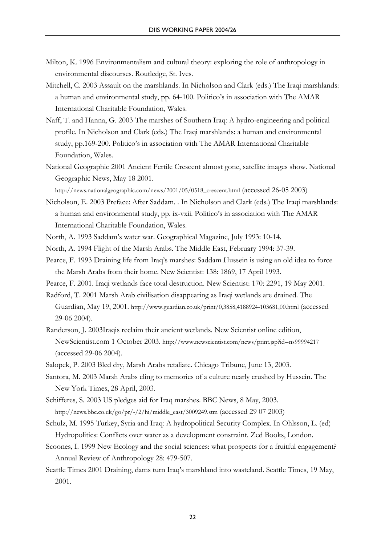- Milton, K. 1996 Environmentalism and cultural theory: exploring the role of anthropology in environmental discourses. Routledge, St. Ives.
- Mitchell, C. 2003 Assault on the marshlands. In Nicholson and Clark (eds.) The Iraqi marshlands: a human and environmental study, pp. 64-100. Politico's in association with The AMAR International Charitable Foundation, Wales.
- Naff, T. and Hanna, G. 2003 The marshes of Southern Iraq: A hydro-engineering and political profile. In Nicholson and Clark (eds.) The Iraqi marshlands: a human and environmental study, pp.169-200. Politico's in association with The AMAR International Charitable Foundation, Wales.
- National Geographic 2001 Ancient Fertile Crescent almost gone, satellite images show. National Geographic News, May 18 2001.

http://news.nationalgeographic.com/news/2001/05/0518\_crescent.html (accessed 26-05 2003)

- Nicholson, E. 2003 Preface: After Saddam. . In Nicholson and Clark (eds.) The Iraqi marshlands: a human and environmental study, pp. ix-vxii. Politico's in association with The AMAR International Charitable Foundation, Wales.
- North, A. 1993 Saddam's water war. Geographical Magazine, July 1993: 10-14.
- North, A. 1994 Flight of the Marsh Arabs. The Middle East, February 1994: 37-39.
- Pearce, F. 1993 Draining life from Iraq's marshes: Saddam Hussein is using an old idea to force the Marsh Arabs from their home. New Scientist: 138: 1869, 17 April 1993.

Pearce, F. 2001. Iraqi wetlands face total destruction. New Scientist: 170: 2291, 19 May 2001.

- Radford, T. 2001 Marsh Arab civilisation disappearing as Iraqi wetlands are drained. The Guardian, May 19, 2001. http://www.guardian.co.uk/print/0,3858,4188924-103681,00.html (accessed 29-06 2004).
- Randerson, J. 2003Iraqis reclaim their ancient wetlands. New Scientist online edition, NewScientist.com 1 October 2003. http://www.newscientist.com/news/print.jsp?id=ns99994217 (accessed 29-06 2004).
- Salopek, P. 2003 Bled dry, Marsh Arabs retaliate. Chicago Tribune, June 13, 2003.
- Santora, M. 2003 Marsh Arabs cling to memories of a culture nearly crushed by Hussein. The New York Times, 28 April, 2003.
- Schifferes, S. 2003 US pledges aid for Iraq marshes. BBC News, 8 May, 2003. http://news.bbc.co.uk/go/pr/-/2/hi/middle\_east/3009249.stm (accessed 29 07 2003)
- Schulz, M. 1995 Turkey, Syria and Iraq: A hydropolitical Security Complex. In Ohlsson, L. (ed) Hydropolitics: Conflicts over water as a development constraint. Zed Books, London.
- Scoones, I. 1999 New Ecology and the social sciences: what prospects for a fruitful engagement? Annual Review of Anthropology 28: 479-507.
- Seattle Times 2001 Draining, dams turn Iraq's marshland into wasteland. Seattle Times, 19 May, 2001.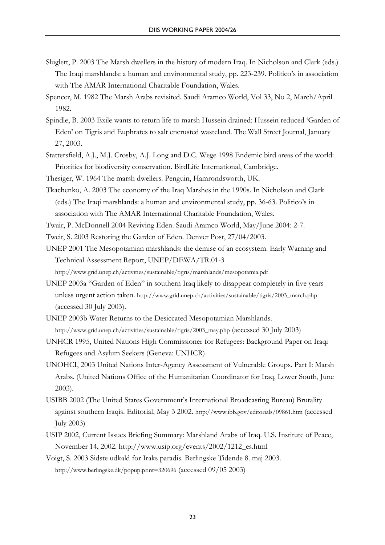- Sluglett, P. 2003 The Marsh dwellers in the history of modern Iraq. In Nicholson and Clark (eds.) The Iraqi marshlands: a human and environmental study, pp. 223-239. Politico's in association with The AMAR International Charitable Foundation, Wales.
- Spencer, M. 1982 The Marsh Arabs revisited. Saudi Aramco World, Vol 33, No 2, March/April 1982.
- Spindle, B. 2003 Exile wants to return life to marsh Hussein drained: Hussein reduced 'Garden of Eden' on Tigris and Euphrates to salt encrusted wasteland. The Wall Street Journal, January 27, 2003.
- Stattersfield, A.J., M.J. Crosby, A.J. Long and D.C. Wege 1998 Endemic bird areas of the world: Priorities for biodiversity conservation. BirdLife International, Cambridge.
- Thesiger, W. 1964 The marsh dwellers. Penguin, Hamrondsworth, UK.
- Tkachenko, A. 2003 The economy of the Iraq Marshes in the 1990s. In Nicholson and Clark (eds.) The Iraqi marshlands: a human and environmental study, pp. 36-63. Politico's in association with The AMAR International Charitable Foundation, Wales.
- Twair, P. McDonnell 2004 Reviving Eden. Saudi Aramco World, May/June 2004: 2-7.
- Tweit, S. 2003 Restoring the Garden of Eden. Denver Post, 27/04/2003.
- UNEP 2001 The Mesopotamian marshlands: the demise of an ecosystem. Early Warning and Technical Assessment Report, UNEP/DEWA/TR.01-3
	- http://www.grid.unep.ch/activities/sustainable/tigris/marshlands/mesopotamia.pdf
- UNEP 2003a "Garden of Eden" in southern Iraq likely to disappear completely in five years unless urgent action taken. http://www.grid.unep.ch/activities/sustainable/tigris/2003\_march.php (accessed 30 July 2003).
- UNEP 2003b Water Returns to the Desiccated Mesopotamian Marshlands. http://www.grid.unep.ch/activities/sustainable/tigris/2003\_may.php (accessed 30 July 2003)
- UNHCR 1995, United Nations High Commissioner for Refugees: Background Paper on Iraqi Refugees and Asylum Seekers (Geneva: UNHCR)
- UNOHCI, 2003 United Nations Inter-Agency Assessment of Vulnerable Groups. Part I: Marsh Arabs. (United Nations Office of the Humanitarian Coordinator for Iraq, Lower South, June 2003).
- USIBB 2002 (The United States Government's International Broadcasting Bureau) Brutality against southern Iraqis. Editorial, May 3 2002. http://www.ibb.gov/editorials/09861.htm (accessed July 2003)
- USIP 2002, Current Issues Briefing Summary: Marshland Arabs of Iraq. U.S. Institute of Peace, November 14, 2002. http://www.usip.org/events/2002/1212\_es.html
- Voigt, S. 2003 Sidste udkald for Iraks paradis. Berlingske Tidende 8. maj 2003. http://www.berlingske.dk/popup:print=320696 (accessed 09/05 2003)